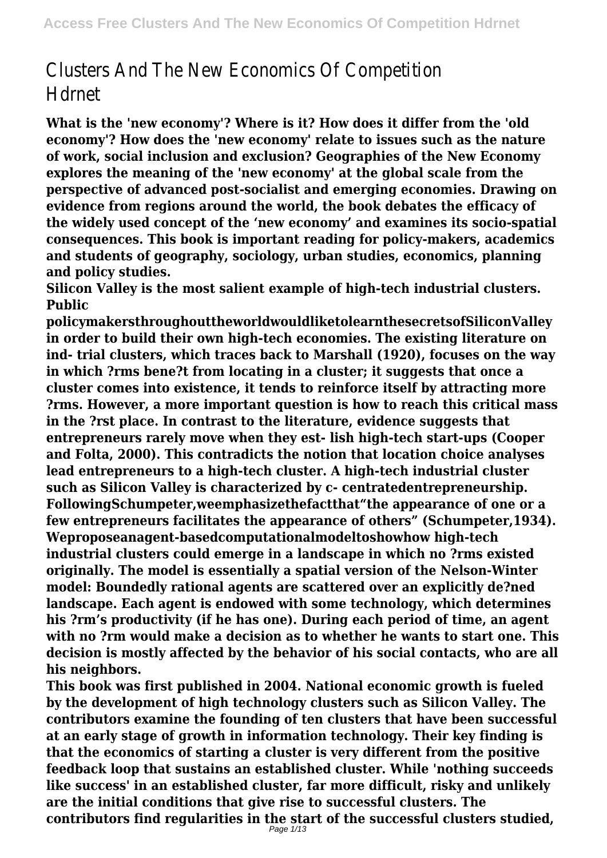# Clusters And The New Economics Of Cor Hdrne

**What is the 'new economy'? Where is it? How does it differ from the 'old economy'? How does the 'new economy' relate to issues such as the nature of work, social inclusion and exclusion? Geographies of the New Economy explores the meaning of the 'new economy' at the global scale from the perspective of advanced post-socialist and emerging economies. Drawing on evidence from regions around the world, the book debates the efficacy of the widely used concept of the 'new economy' and examines its socio-spatial consequences. This book is important reading for policy-makers, academics and students of geography, sociology, urban studies, economics, planning and policy studies.**

**Silicon Valley is the most salient example of high-tech industrial clusters. Public**

**policymakersthroughouttheworldwouldliketolearnthesecretsofSiliconValley in order to build their own high-tech economies. The existing literature on ind- trial clusters, which traces back to Marshall (1920), focuses on the way in which ?rms bene?t from locating in a cluster; it suggests that once a cluster comes into existence, it tends to reinforce itself by attracting more ?rms. However, a more important question is how to reach this critical mass in the ?rst place. In contrast to the literature, evidence suggests that entrepreneurs rarely move when they est- lish high-tech start-ups (Cooper and Folta, 2000). This contradicts the notion that location choice analyses lead entrepreneurs to a high-tech cluster. A high-tech industrial cluster such as Silicon Valley is characterized by c- centratedentrepreneurship. FollowingSchumpeter,weemphasizethefactthat"the appearance of one or a few entrepreneurs facilitates the appearance of others" (Schumpeter,1934). Weproposeanagent-basedcomputationalmodeltoshowhow high-tech industrial clusters could emerge in a landscape in which no ?rms existed originally. The model is essentially a spatial version of the Nelson-Winter model: Boundedly rational agents are scattered over an explicitly de?ned landscape. Each agent is endowed with some technology, which determines his ?rm's productivity (if he has one). During each period of time, an agent with no ?rm would make a decision as to whether he wants to start one. This decision is mostly affected by the behavior of his social contacts, who are all his neighbors.**

**This book was first published in 2004. National economic growth is fueled by the development of high technology clusters such as Silicon Valley. The contributors examine the founding of ten clusters that have been successful at an early stage of growth in information technology. Their key finding is that the economics of starting a cluster is very different from the positive feedback loop that sustains an established cluster. While 'nothing succeeds like success' in an established cluster, far more difficult, risky and unlikely are the initial conditions that give rise to successful clusters. The contributors find regularities in the start of the successful clusters studied,** Page 1/13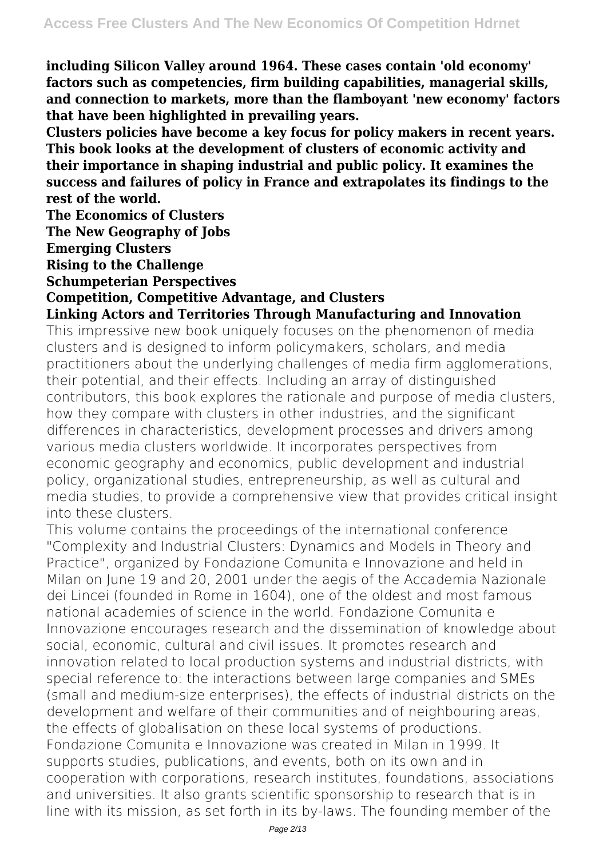**including Silicon Valley around 1964. These cases contain 'old economy' factors such as competencies, firm building capabilities, managerial skills, and connection to markets, more than the flamboyant 'new economy' factors that have been highlighted in prevailing years.**

**Clusters policies have become a key focus for policy makers in recent years. This book looks at the development of clusters of economic activity and their importance in shaping industrial and public policy. It examines the success and failures of policy in France and extrapolates its findings to the rest of the world.**

**The Economics of Clusters**

**The New Geography of Jobs**

**Emerging Clusters**

**Rising to the Challenge**

**Schumpeterian Perspectives**

## **Competition, Competitive Advantage, and Clusters**

# **Linking Actors and Territories Through Manufacturing and Innovation**

This impressive new book uniquely focuses on the phenomenon of media clusters and is designed to inform policymakers, scholars, and media practitioners about the underlying challenges of media firm agglomerations, their potential, and their effects. Including an array of distinguished contributors, this book explores the rationale and purpose of media clusters, how they compare with clusters in other industries, and the significant differences in characteristics, development processes and drivers among various media clusters worldwide. It incorporates perspectives from economic geography and economics, public development and industrial policy, organizational studies, entrepreneurship, as well as cultural and media studies, to provide a comprehensive view that provides critical insight into these clusters.

This volume contains the proceedings of the international conference "Complexity and Industrial Clusters: Dynamics and Models in Theory and Practice", organized by Fondazione Comunita e Innovazione and held in Milan on June 19 and 20, 2001 under the aegis of the Accademia Nazionale dei Lincei (founded in Rome in 1604), one of the oldest and most famous national academies of science in the world. Fondazione Comunita e Innovazione encourages research and the dissemination of knowledge about social, economic, cultural and civil issues. It promotes research and innovation related to local production systems and industrial districts, with special reference to: the interactions between large companies and SMEs (small and medium-size enterprises), the effects of industrial districts on the development and welfare of their communities and of neighbouring areas, the effects of globalisation on these local systems of productions. Fondazione Comunita e Innovazione was created in Milan in 1999. It supports studies, publications, and events, both on its own and in cooperation with corporations, research institutes, foundations, associations and universities. It also grants scientific sponsorship to research that is in line with its mission, as set forth in its by-laws. The founding member of the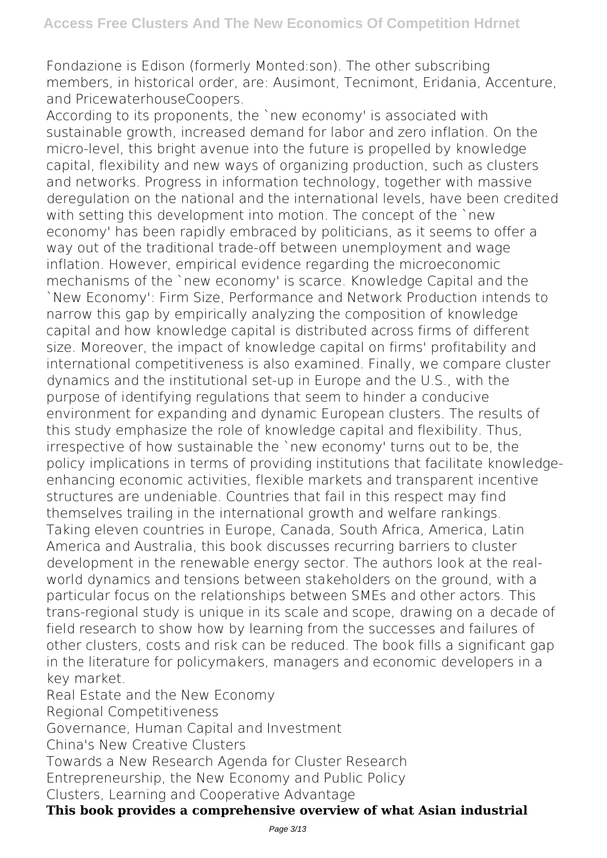Fondazione is Edison (formerly Monted:son). The other subscribing members, in historical order, are: Ausimont, Tecnimont, Eridania, Accenture, and PricewaterhouseCoopers.

According to its proponents, the `new economy' is associated with sustainable growth, increased demand for labor and zero inflation. On the micro-level, this bright avenue into the future is propelled by knowledge capital, flexibility and new ways of organizing production, such as clusters and networks. Progress in information technology, together with massive deregulation on the national and the international levels, have been credited with setting this development into motion. The concept of the `new economy' has been rapidly embraced by politicians, as it seems to offer a way out of the traditional trade-off between unemployment and wage inflation. However, empirical evidence regarding the microeconomic mechanisms of the `new economy' is scarce. Knowledge Capital and the `New Economy': Firm Size, Performance and Network Production intends to narrow this gap by empirically analyzing the composition of knowledge capital and how knowledge capital is distributed across firms of different size. Moreover, the impact of knowledge capital on firms' profitability and international competitiveness is also examined. Finally, we compare cluster dynamics and the institutional set-up in Europe and the U.S., with the purpose of identifying regulations that seem to hinder a conducive environment for expanding and dynamic European clusters. The results of this study emphasize the role of knowledge capital and flexibility. Thus, irrespective of how sustainable the `new economy' turns out to be, the policy implications in terms of providing institutions that facilitate knowledgeenhancing economic activities, flexible markets and transparent incentive structures are undeniable. Countries that fail in this respect may find themselves trailing in the international growth and welfare rankings. Taking eleven countries in Europe, Canada, South Africa, America, Latin America and Australia, this book discusses recurring barriers to cluster development in the renewable energy sector. The authors look at the realworld dynamics and tensions between stakeholders on the ground, with a particular focus on the relationships between SMEs and other actors. This trans-regional study is unique in its scale and scope, drawing on a decade of field research to show how by learning from the successes and failures of other clusters, costs and risk can be reduced. The book fills a significant gap in the literature for policymakers, managers and economic developers in a key market.

Real Estate and the New Economy Regional Competitiveness

Governance, Human Capital and Investment

China's New Creative Clusters

Towards a New Research Agenda for Cluster Research Entrepreneurship, the New Economy and Public Policy

Clusters, Learning and Cooperative Advantage

**This book provides a comprehensive overview of what Asian industrial**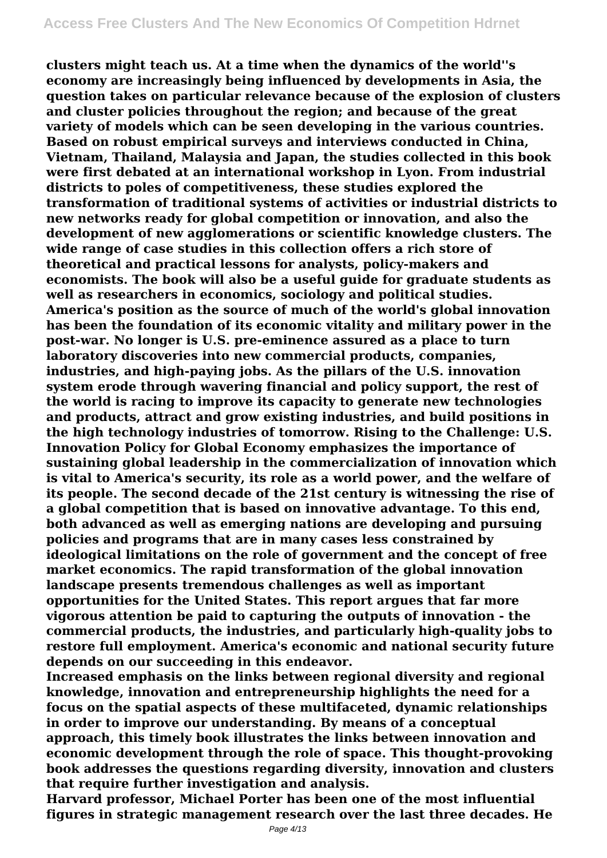**clusters might teach us. At a time when the dynamics of the world''s economy are increasingly being influenced by developments in Asia, the question takes on particular relevance because of the explosion of clusters and cluster policies throughout the region; and because of the great variety of models which can be seen developing in the various countries. Based on robust empirical surveys and interviews conducted in China, Vietnam, Thailand, Malaysia and Japan, the studies collected in this book were first debated at an international workshop in Lyon. From industrial districts to poles of competitiveness, these studies explored the transformation of traditional systems of activities or industrial districts to new networks ready for global competition or innovation, and also the development of new agglomerations or scientific knowledge clusters. The wide range of case studies in this collection offers a rich store of theoretical and practical lessons for analysts, policy-makers and economists. The book will also be a useful guide for graduate students as well as researchers in economics, sociology and political studies. America's position as the source of much of the world's global innovation has been the foundation of its economic vitality and military power in the post-war. No longer is U.S. pre-eminence assured as a place to turn laboratory discoveries into new commercial products, companies, industries, and high-paying jobs. As the pillars of the U.S. innovation system erode through wavering financial and policy support, the rest of the world is racing to improve its capacity to generate new technologies and products, attract and grow existing industries, and build positions in the high technology industries of tomorrow. Rising to the Challenge: U.S. Innovation Policy for Global Economy emphasizes the importance of sustaining global leadership in the commercialization of innovation which is vital to America's security, its role as a world power, and the welfare of its people. The second decade of the 21st century is witnessing the rise of a global competition that is based on innovative advantage. To this end, both advanced as well as emerging nations are developing and pursuing policies and programs that are in many cases less constrained by ideological limitations on the role of government and the concept of free market economics. The rapid transformation of the global innovation landscape presents tremendous challenges as well as important opportunities for the United States. This report argues that far more vigorous attention be paid to capturing the outputs of innovation - the commercial products, the industries, and particularly high-quality jobs to restore full employment. America's economic and national security future depends on our succeeding in this endeavor.**

**Increased emphasis on the links between regional diversity and regional knowledge, innovation and entrepreneurship highlights the need for a focus on the spatial aspects of these multifaceted, dynamic relationships in order to improve our understanding. By means of a conceptual approach, this timely book illustrates the links between innovation and economic development through the role of space. This thought-provoking book addresses the questions regarding diversity, innovation and clusters that require further investigation and analysis.**

**Harvard professor, Michael Porter has been one of the most influential figures in strategic management research over the last three decades. He**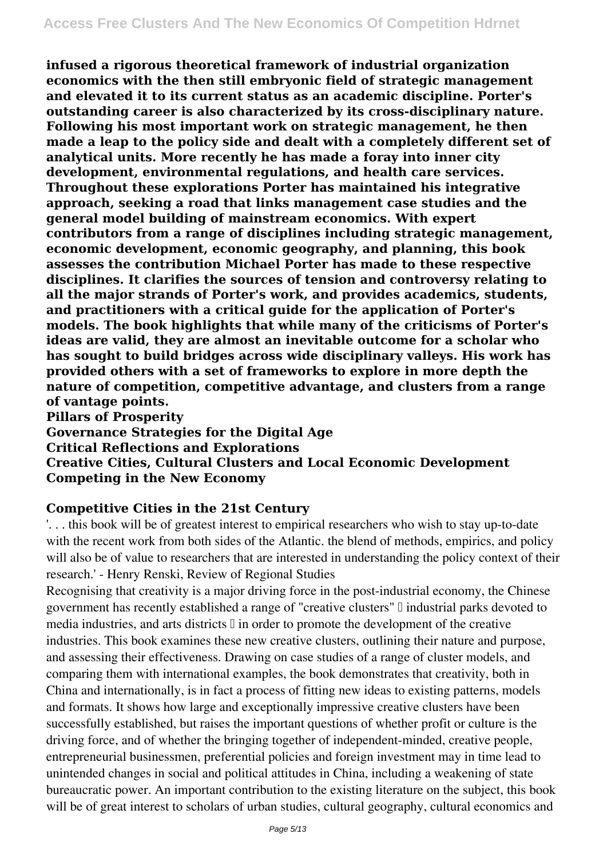**infused a rigorous theoretical framework of industrial organization economics with the then still embryonic field of strategic management and elevated it to its current status as an academic discipline. Porter's outstanding career is also characterized by its cross-disciplinary nature. Following his most important work on strategic management, he then made a leap to the policy side and dealt with a completely different set of analytical units. More recently he has made a foray into inner city development, environmental regulations, and health care services. Throughout these explorations Porter has maintained his integrative approach, seeking a road that links management case studies and the general model building of mainstream economics. With expert contributors from a range of disciplines including strategic management, economic development, economic geography, and planning, this book assesses the contribution Michael Porter has made to these respective disciplines. It clarifies the sources of tension and controversy relating to all the major strands of Porter's work, and provides academics, students, and practitioners with a critical guide for the application of Porter's models. The book highlights that while many of the criticisms of Porter's ideas are valid, they are almost an inevitable outcome for a scholar who has sought to build bridges across wide disciplinary valleys. His work has provided others with a set of frameworks to explore in more depth the nature of competition, competitive advantage, and clusters from a range of vantage points. Pillars of Prosperity**

**Governance Strategies for the Digital Age**

**Critical Reflections and Explorations**

**Creative Cities, Cultural Clusters and Local Economic Development Competing in the New Economy**

# **Competitive Cities in the 21st Century**

'. . . this book will be of greatest interest to empirical researchers who wish to stay up-to-date with the recent work from both sides of the Atlantic. the blend of methods, empirics, and policy will also be of value to researchers that are interested in understanding the policy context of their research.' - Henry Renski, Review of Regional Studies

Recognising that creativity is a major driving force in the post-industrial economy, the Chinese government has recently established a range of "creative clusters" I industrial parks devoted to media industries, and arts districts  $\mathbb I$  in order to promote the development of the creative industries. This book examines these new creative clusters, outlining their nature and purpose, and assessing their effectiveness. Drawing on case studies of a range of cluster models, and comparing them with international examples, the book demonstrates that creativity, both in China and internationally, is in fact a process of fitting new ideas to existing patterns, models and formats. It shows how large and exceptionally impressive creative clusters have been successfully established, but raises the important questions of whether profit or culture is the driving force, and of whether the bringing together of independent-minded, creative people, entrepreneurial businessmen, preferential policies and foreign investment may in time lead to unintended changes in social and political attitudes in China, including a weakening of state bureaucratic power. An important contribution to the existing literature on the subject, this book will be of great interest to scholars of urban studies, cultural geography, cultural economics and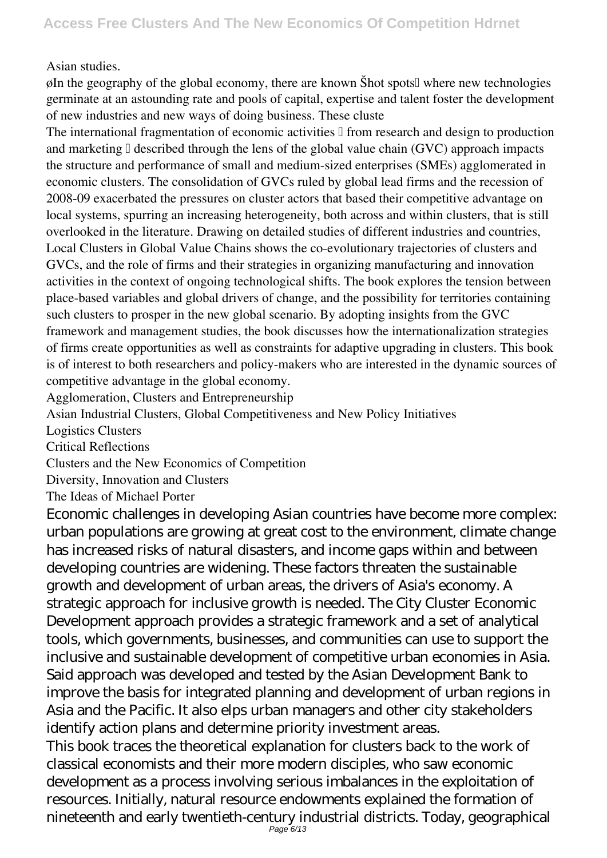#### Asian studies.

øIn the geography of the global economy, there are known Šhot spots� where new technologies germinate at an astounding rate and pools of capital, expertise and talent foster the development of new industries and new ways of doing business. These cluste

The international fragmentation of economic activities  $\mathbb I$  from research and design to production and marketing  $\Box$  described through the lens of the global value chain (GVC) approach impacts the structure and performance of small and medium-sized enterprises (SMEs) agglomerated in economic clusters. The consolidation of GVCs ruled by global lead firms and the recession of 2008-09 exacerbated the pressures on cluster actors that based their competitive advantage on local systems, spurring an increasing heterogeneity, both across and within clusters, that is still overlooked in the literature. Drawing on detailed studies of different industries and countries, Local Clusters in Global Value Chains shows the co-evolutionary trajectories of clusters and GVCs, and the role of firms and their strategies in organizing manufacturing and innovation activities in the context of ongoing technological shifts. The book explores the tension between place-based variables and global drivers of change, and the possibility for territories containing such clusters to prosper in the new global scenario. By adopting insights from the GVC framework and management studies, the book discusses how the internationalization strategies of firms create opportunities as well as constraints for adaptive upgrading in clusters. This book is of interest to both researchers and policy-makers who are interested in the dynamic sources of competitive advantage in the global economy.

Agglomeration, Clusters and Entrepreneurship

Asian Industrial Clusters, Global Competitiveness and New Policy Initiatives

Logistics Clusters

Critical Reflections

Clusters and the New Economics of Competition

Diversity, Innovation and Clusters

The Ideas of Michael Porter

Economic challenges in developing Asian countries have become more complex: urban populations are growing at great cost to the environment, climate change has increased risks of natural disasters, and income gaps within and between developing countries are widening. These factors threaten the sustainable growth and development of urban areas, the drivers of Asia's economy. A strategic approach for inclusive growth is needed. The City Cluster Economic Development approach provides a strategic framework and a set of analytical tools, which governments, businesses, and communities can use to support the inclusive and sustainable development of competitive urban economies in Asia. Said approach was developed and tested by the Asian Development Bank to improve the basis for integrated planning and development of urban regions in Asia and the Pacific. It also elps urban managers and other city stakeholders identify action plans and determine priority investment areas.

This book traces the theoretical explanation for clusters back to the work of classical economists and their more modern disciples, who saw economic development as a process involving serious imbalances in the exploitation of resources. Initially, natural resource endowments explained the formation of nineteenth and early twentieth-century industrial districts. Today, geographical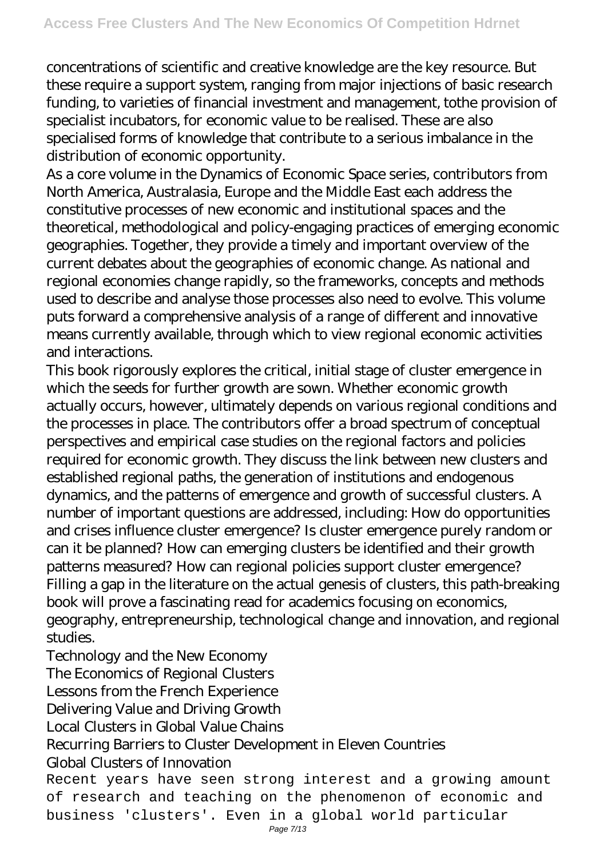concentrations of scientific and creative knowledge are the key resource. But these require a support system, ranging from major injections of basic research funding, to varieties of financial investment and management, tothe provision of specialist incubators, for economic value to be realised. These are also specialised forms of knowledge that contribute to a serious imbalance in the distribution of economic opportunity.

As a core volume in the Dynamics of Economic Space series, contributors from North America, Australasia, Europe and the Middle East each address the constitutive processes of new economic and institutional spaces and the theoretical, methodological and policy-engaging practices of emerging economic geographies. Together, they provide a timely and important overview of the current debates about the geographies of economic change. As national and regional economies change rapidly, so the frameworks, concepts and methods used to describe and analyse those processes also need to evolve. This volume puts forward a comprehensive analysis of a range of different and innovative means currently available, through which to view regional economic activities and interactions.

This book rigorously explores the critical, initial stage of cluster emergence in which the seeds for further growth are sown. Whether economic growth actually occurs, however, ultimately depends on various regional conditions and the processes in place. The contributors offer a broad spectrum of conceptual perspectives and empirical case studies on the regional factors and policies required for economic growth. They discuss the link between new clusters and established regional paths, the generation of institutions and endogenous dynamics, and the patterns of emergence and growth of successful clusters. A number of important questions are addressed, including: How do opportunities and crises influence cluster emergence? Is cluster emergence purely random or can it be planned? How can emerging clusters be identified and their growth patterns measured? How can regional policies support cluster emergence? Filling a gap in the literature on the actual genesis of clusters, this path-breaking book will prove a fascinating read for academics focusing on economics, geography, entrepreneurship, technological change and innovation, and regional studies.

Technology and the New Economy The Economics of Regional Clusters Lessons from the French Experience Delivering Value and Driving Growth Local Clusters in Global Value Chains Recurring Barriers to Cluster Development in Eleven Countries Global Clusters of Innovation Recent years have seen strong interest and a growing amount of research and teaching on the phenomenon of economic and

business 'clusters'. Even in a global world particular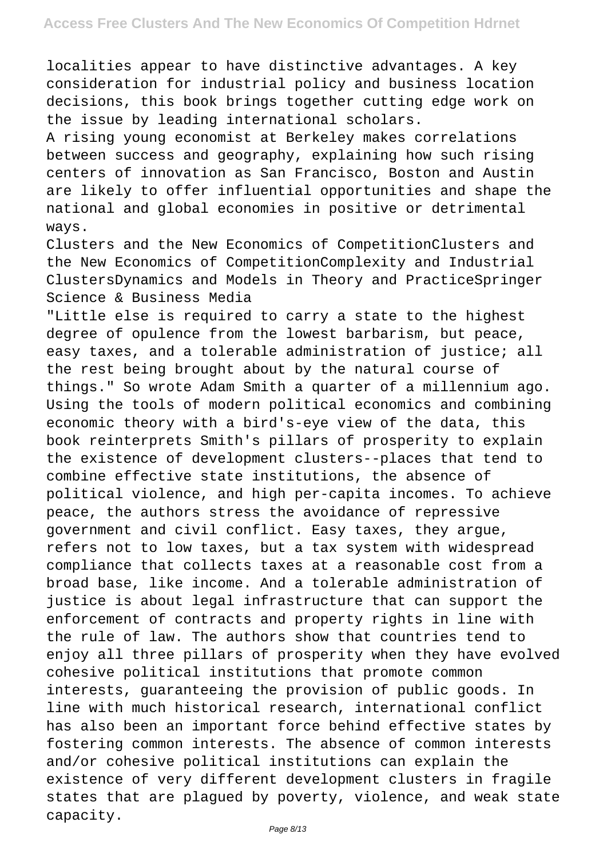localities appear to have distinctive advantages. A key consideration for industrial policy and business location decisions, this book brings together cutting edge work on the issue by leading international scholars.

A rising young economist at Berkeley makes correlations between success and geography, explaining how such rising centers of innovation as San Francisco, Boston and Austin are likely to offer influential opportunities and shape the national and global economies in positive or detrimental ways.

Clusters and the New Economics of CompetitionClusters and the New Economics of CompetitionComplexity and Industrial ClustersDynamics and Models in Theory and PracticeSpringer Science & Business Media

"Little else is required to carry a state to the highest degree of opulence from the lowest barbarism, but peace, easy taxes, and a tolerable administration of justice; all the rest being brought about by the natural course of things." So wrote Adam Smith a quarter of a millennium ago. Using the tools of modern political economics and combining economic theory with a bird's-eye view of the data, this book reinterprets Smith's pillars of prosperity to explain the existence of development clusters--places that tend to combine effective state institutions, the absence of political violence, and high per-capita incomes. To achieve peace, the authors stress the avoidance of repressive government and civil conflict. Easy taxes, they argue, refers not to low taxes, but a tax system with widespread compliance that collects taxes at a reasonable cost from a broad base, like income. And a tolerable administration of justice is about legal infrastructure that can support the enforcement of contracts and property rights in line with the rule of law. The authors show that countries tend to enjoy all three pillars of prosperity when they have evolved cohesive political institutions that promote common interests, guaranteeing the provision of public goods. In line with much historical research, international conflict has also been an important force behind effective states by fostering common interests. The absence of common interests and/or cohesive political institutions can explain the existence of very different development clusters in fragile states that are plagued by poverty, violence, and weak state capacity.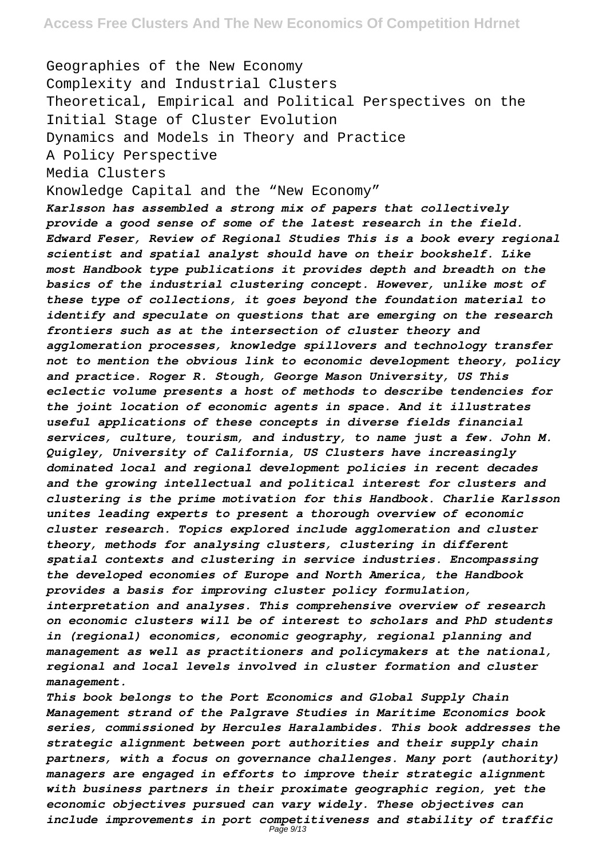Geographies of the New Economy Complexity and Industrial Clusters Theoretical, Empirical and Political Perspectives on the Initial Stage of Cluster Evolution Dynamics and Models in Theory and Practice A Policy Perspective Media Clusters

Knowledge Capital and the "New Economy"

*Karlsson has assembled a strong mix of papers that collectively provide a good sense of some of the latest research in the field. Edward Feser, Review of Regional Studies This is a book every regional scientist and spatial analyst should have on their bookshelf. Like most Handbook type publications it provides depth and breadth on the basics of the industrial clustering concept. However, unlike most of these type of collections, it goes beyond the foundation material to identify and speculate on questions that are emerging on the research frontiers such as at the intersection of cluster theory and agglomeration processes, knowledge spillovers and technology transfer not to mention the obvious link to economic development theory, policy and practice. Roger R. Stough, George Mason University, US This eclectic volume presents a host of methods to describe tendencies for the joint location of economic agents in space. And it illustrates useful applications of these concepts in diverse fields financial services, culture, tourism, and industry, to name just a few. John M. Quigley, University of California, US Clusters have increasingly dominated local and regional development policies in recent decades and the growing intellectual and political interest for clusters and clustering is the prime motivation for this Handbook. Charlie Karlsson unites leading experts to present a thorough overview of economic cluster research. Topics explored include agglomeration and cluster theory, methods for analysing clusters, clustering in different spatial contexts and clustering in service industries. Encompassing the developed economies of Europe and North America, the Handbook provides a basis for improving cluster policy formulation, interpretation and analyses. This comprehensive overview of research on economic clusters will be of interest to scholars and PhD students in (regional) economics, economic geography, regional planning and management as well as practitioners and policymakers at the national,*

*This book belongs to the Port Economics and Global Supply Chain Management strand of the Palgrave Studies in Maritime Economics book series, commissioned by Hercules Haralambides. This book addresses the strategic alignment between port authorities and their supply chain partners, with a focus on governance challenges. Many port (authority) managers are engaged in efforts to improve their strategic alignment with business partners in their proximate geographic region, yet the economic objectives pursued can vary widely. These objectives can include improvements in port competitiveness and stability of traffic* Page 9/13

*regional and local levels involved in cluster formation and cluster*

*management.*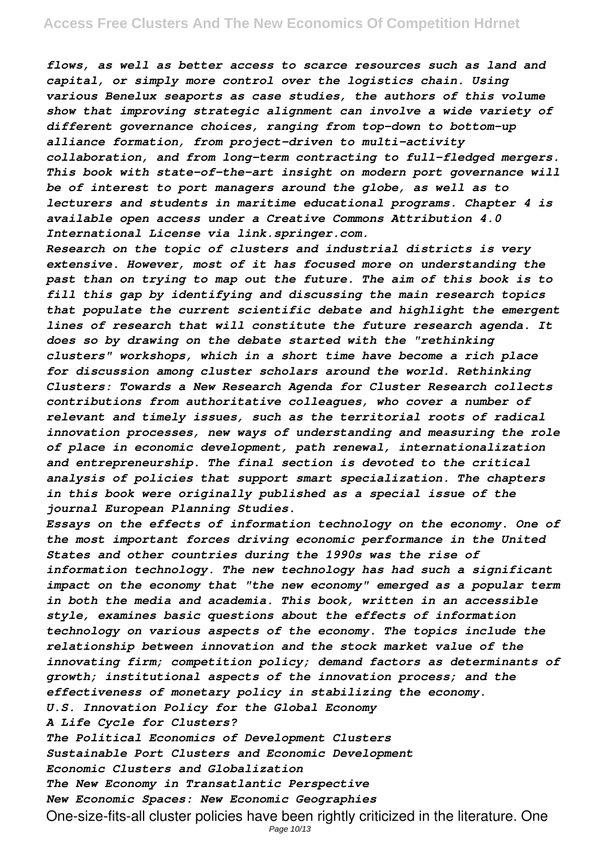*flows, as well as better access to scarce resources such as land and capital, or simply more control over the logistics chain. Using various Benelux seaports as case studies, the authors of this volume show that improving strategic alignment can involve a wide variety of different governance choices, ranging from top-down to bottom-up alliance formation, from project-driven to multi-activity collaboration, and from long-term contracting to full-fledged mergers. This book with state-of-the-art insight on modern port governance will be of interest to port managers around the globe, as well as to lecturers and students in maritime educational programs. Chapter 4 is available open access under a Creative Commons Attribution 4.0 International License via link.springer.com.*

*Research on the topic of clusters and industrial districts is very extensive. However, most of it has focused more on understanding the past than on trying to map out the future. The aim of this book is to fill this gap by identifying and discussing the main research topics that populate the current scientific debate and highlight the emergent lines of research that will constitute the future research agenda. It does so by drawing on the debate started with the "rethinking clusters" workshops, which in a short time have become a rich place for discussion among cluster scholars around the world. Rethinking Clusters: Towards a New Research Agenda for Cluster Research collects contributions from authoritative colleagues, who cover a number of relevant and timely issues, such as the territorial roots of radical innovation processes, new ways of understanding and measuring the role of place in economic development, path renewal, internationalization and entrepreneurship. The final section is devoted to the critical analysis of policies that support smart specialization. The chapters in this book were originally published as a special issue of the journal European Planning Studies.*

*Essays on the effects of information technology on the economy. One of the most important forces driving economic performance in the United States and other countries during the 1990s was the rise of information technology. The new technology has had such a significant impact on the economy that "the new economy" emerged as a popular term in both the media and academia. This book, written in an accessible style, examines basic questions about the effects of information technology on various aspects of the economy. The topics include the relationship between innovation and the stock market value of the innovating firm; competition policy; demand factors as determinants of growth; institutional aspects of the innovation process; and the effectiveness of monetary policy in stabilizing the economy. U.S. Innovation Policy for the Global Economy A Life Cycle for Clusters? The Political Economics of Development Clusters Sustainable Port Clusters and Economic Development Economic Clusters and Globalization The New Economy in Transatlantic Perspective New Economic Spaces: New Economic Geographies* One-size-fits-all cluster policies have been rightly criticized in the literature. One

Page 10/13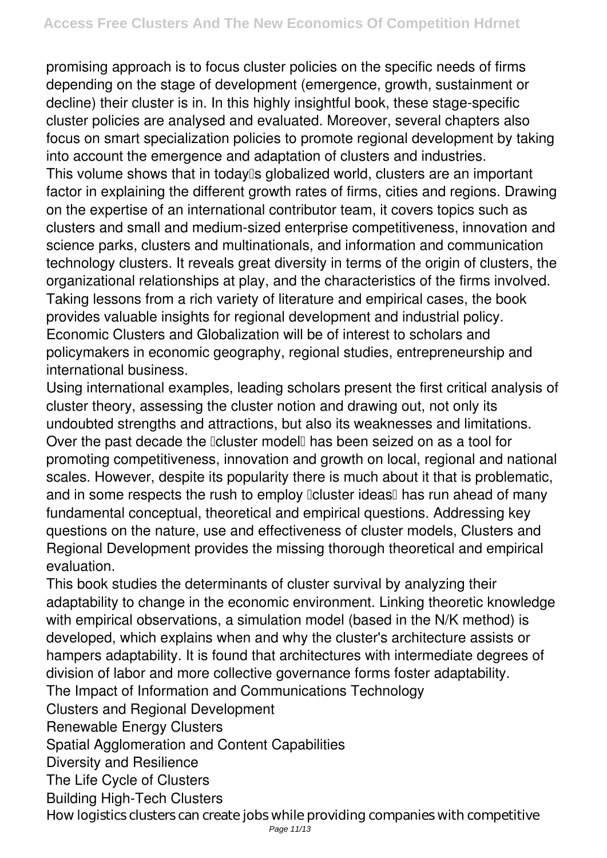promising approach is to focus cluster policies on the specific needs of firms depending on the stage of development (emergence, growth, sustainment or decline) their cluster is in. In this highly insightful book, these stage-specific cluster policies are analysed and evaluated. Moreover, several chapters also focus on smart specialization policies to promote regional development by taking into account the emergence and adaptation of clusters and industries. This volume shows that in today<sup>[]</sup>s globalized world, clusters are an important factor in explaining the different growth rates of firms, cities and regions. Drawing on the expertise of an international contributor team, it covers topics such as clusters and small and medium-sized enterprise competitiveness, innovation and science parks, clusters and multinationals, and information and communication technology clusters. It reveals great diversity in terms of the origin of clusters, the organizational relationships at play, and the characteristics of the firms involved. Taking lessons from a rich variety of literature and empirical cases, the book provides valuable insights for regional development and industrial policy. Economic Clusters and Globalization will be of interest to scholars and policymakers in economic geography, regional studies, entrepreneurship and international business.

Using international examples, leading scholars present the first critical analysis of cluster theory, assessing the cluster notion and drawing out, not only its undoubted strengths and attractions, but also its weaknesses and limitations. Over the past decade the **licluster modell** has been seized on as a tool for promoting competitiveness, innovation and growth on local, regional and national scales. However, despite its popularity there is much about it that is problematic, and in some respects the rush to employ **I**cluster ideas<sup>[]</sup> has run ahead of many fundamental conceptual, theoretical and empirical questions. Addressing key questions on the nature, use and effectiveness of cluster models, Clusters and Regional Development provides the missing thorough theoretical and empirical evaluation.

This book studies the determinants of cluster survival by analyzing their adaptability to change in the economic environment. Linking theoretic knowledge with empirical observations, a simulation model (based in the N/K method) is developed, which explains when and why the cluster's architecture assists or hampers adaptability. It is found that architectures with intermediate degrees of division of labor and more collective governance forms foster adaptability. The Impact of Information and Communications Technology Clusters and Regional Development Renewable Energy Clusters Spatial Agglomeration and Content Capabilities Diversity and Resilience The Life Cycle of Clusters Building High-Tech Clusters How logistics clusters can create jobs while providing companies with competitive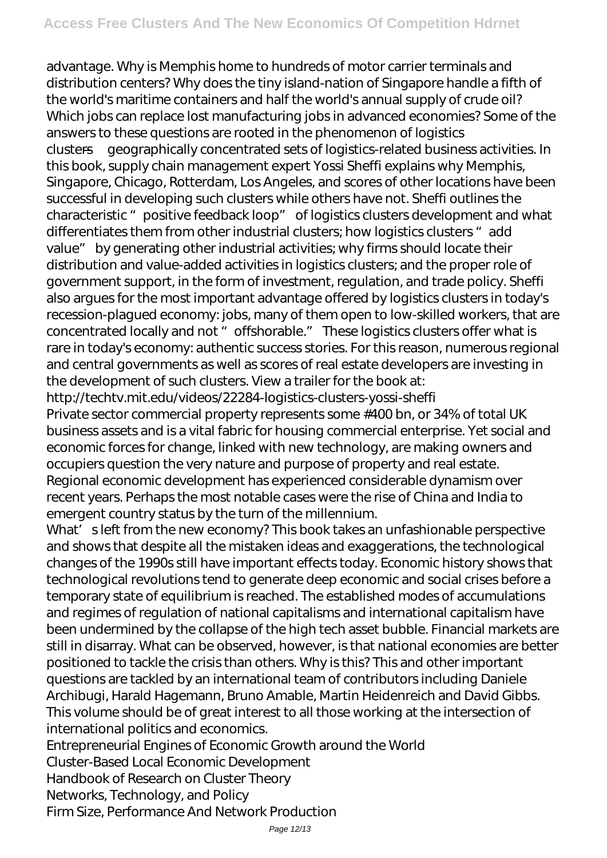advantage. Why is Memphis home to hundreds of motor carrier terminals and distribution centers? Why does the tiny island-nation of Singapore handle a fifth of the world's maritime containers and half the world's annual supply of crude oil? Which jobs can replace lost manufacturing jobs in advanced economies? Some of the answers to these questions are rooted in the phenomenon of logistics clusters—geographically concentrated sets of logistics-related business activities. In this book, supply chain management expert Yossi Sheffi explains why Memphis, Singapore, Chicago, Rotterdam, Los Angeles, and scores of other locations have been successful in developing such clusters while others have not. Sheffi outlines the characteristic "positive feedback loop" of logistics clusters development and what differentiates them from other industrial clusters; how logistics clusters "add value" by generating other industrial activities; why firms should locate their distribution and value-added activities in logistics clusters; and the proper role of government support, in the form of investment, regulation, and trade policy. Sheffi also argues for the most important advantage offered by logistics clusters in today's recession-plagued economy: jobs, many of them open to low-skilled workers, that are concentrated locally and not " offshorable." These logistics clusters offer what is rare in today's economy: authentic success stories. For this reason, numerous regional and central governments as well as scores of real estate developers are investing in the development of such clusters. View a trailer for the book at: http://techtv.mit.edu/videos/22284-logistics-clusters-yossi-sheffi Private sector commercial property represents some #400 bn, or 34% of total UK business assets and is a vital fabric for housing commercial enterprise. Yet social and economic forces for change, linked with new technology, are making owners and occupiers question the very nature and purpose of property and real estate.

Regional economic development has experienced considerable dynamism over recent years. Perhaps the most notable cases were the rise of China and India to emergent country status by the turn of the millennium.

What's left from the new economy? This book takes an unfashionable perspective and shows that despite all the mistaken ideas and exaggerations, the technological changes of the 1990s still have important effects today. Economic history shows that technological revolutions tend to generate deep economic and social crises before a temporary state of equilibrium is reached. The established modes of accumulations and regimes of regulation of national capitalisms and international capitalism have been undermined by the collapse of the high tech asset bubble. Financial markets are still in disarray. What can be observed, however, is that national economies are better positioned to tackle the crisis than others. Why is this? This and other important questions are tackled by an international team of contributors including Daniele Archibugi, Harald Hagemann, Bruno Amable, Martin Heidenreich and David Gibbs. This volume should be of great interest to all those working at the intersection of international politics and economics.

Entrepreneurial Engines of Economic Growth around the World

Cluster-Based Local Economic Development

Handbook of Research on Cluster Theory

Networks, Technology, and Policy

Firm Size, Performance And Network Production